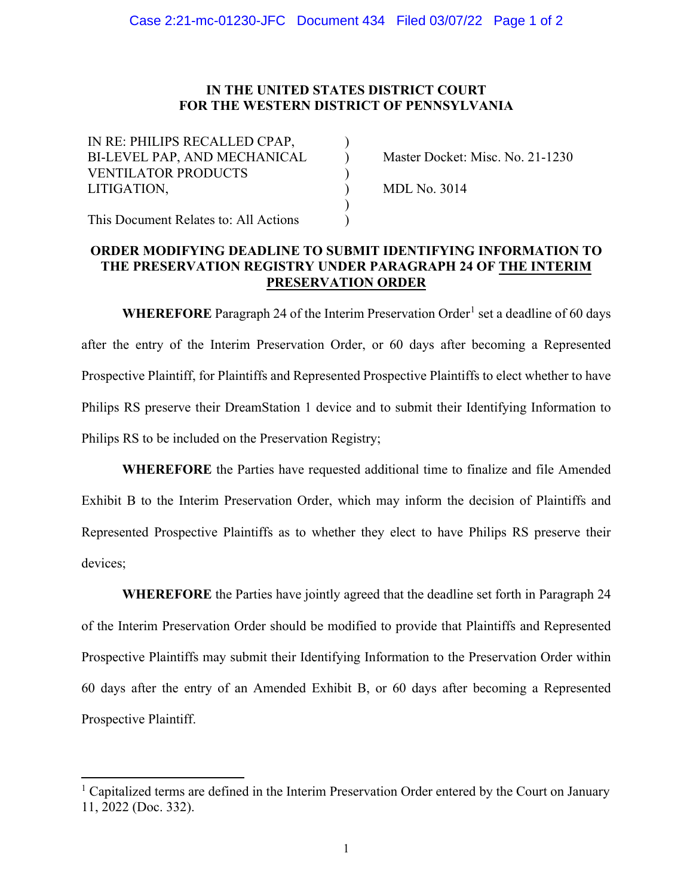## **IN THE UNITED STATES DISTRICT COURT FOR THE WESTERN DISTRICT OF PENNSYLVANIA**

| IN RE: PHILIPS RECALLED CPAP,<br>BI-LEVEL PAP, AND MECHANICAL | Master Docket: Misc. No. 21-1230 |
|---------------------------------------------------------------|----------------------------------|
| <b>VENTILATOR PRODUCTS</b>                                    |                                  |
| LITIGATION,                                                   | <b>MDL No. 3014</b>              |
|                                                               |                                  |
| This Document Relates to: All Actions                         |                                  |

## **ORDER MODIFYING DEADLINE TO SUBMIT IDENTIFYING INFORMATION TO THE PRESERVATION REGISTRY UNDER PARAGRAPH 24 OF THE INTERIM PRESERVATION ORDER**

WHEREFORE Paragraph 24 of the Interim Preservation Order<sup>1</sup> set a deadline of 60 days after the entry of the Interim Preservation Order, or 60 days after becoming a Represented Prospective Plaintiff, for Plaintiffs and Represented Prospective Plaintiffs to elect whether to have Philips RS preserve their DreamStation 1 device and to submit their Identifying Information to Philips RS to be included on the Preservation Registry;

**WHEREFORE** the Parties have requested additional time to finalize and file Amended Exhibit B to the Interim Preservation Order, which may inform the decision of Plaintiffs and Represented Prospective Plaintiffs as to whether they elect to have Philips RS preserve their devices;

**WHEREFORE** the Parties have jointly agreed that the deadline set forth in Paragraph 24 of the Interim Preservation Order should be modified to provide that Plaintiffs and Represented Prospective Plaintiffs may submit their Identifying Information to the Preservation Order within 60 days after the entry of an Amended Exhibit B, or 60 days after becoming a Represented Prospective Plaintiff.

 $<sup>1</sup>$  Capitalized terms are defined in the Interim Preservation Order entered by the Court on January</sup> 11, 2022 (Doc. 332).